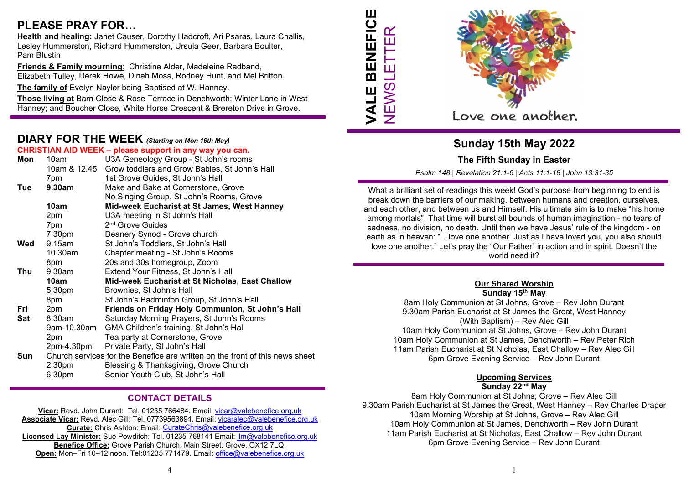# PLEASE PRAY FOR…

Health and healing: Janet Causer, Dorothy Hadcroft, Ari Psaras, Laura Challis, Lesley Hummerston, Richard Hummerston, Ursula Geer, Barbara Boulter, Pam Blustin

Friends & Family mourning: Christine Alder, Madeleine Radband, Elizabeth Tulley, Derek Howe, Dinah Moss, Rodney Hunt, and Mel Britton.

The family of Evelyn Naylor being Baptised at W. Hanney.

Those living at Barn Close & Rose Terrace in Denchworth; Winter Lane in West Hanney; and Boucher Close, White Horse Crescent & Brereton Drive in Grove.

### DIARY FOR THE WEEK (Starting on Mon 16th May)

| CHRISTIAN AID WEEK - please support in any way you can. |                                                                              |                                                            |  |  |  |  |
|---------------------------------------------------------|------------------------------------------------------------------------------|------------------------------------------------------------|--|--|--|--|
| Mon                                                     | 10am                                                                         | U3A Geneology Group - St John's rooms                      |  |  |  |  |
|                                                         |                                                                              | 10am & 12.45 Grow toddlers and Grow Babies, St John's Hall |  |  |  |  |
|                                                         | 7pm                                                                          | 1st Grove Guides, St John's Hall                           |  |  |  |  |
| Tue                                                     | 9.30am                                                                       | Make and Bake at Cornerstone, Grove                        |  |  |  |  |
|                                                         |                                                                              | No Singing Group, St John's Rooms, Grove                   |  |  |  |  |
|                                                         | 10am                                                                         | Mid-week Eucharist at St James, West Hanney                |  |  |  |  |
|                                                         | 2pm                                                                          | U3A meeting in St John's Hall                              |  |  |  |  |
|                                                         | 7pm                                                                          | 2 <sup>nd</sup> Grove Guides                               |  |  |  |  |
|                                                         | 7.30pm                                                                       | Deanery Synod - Grove church                               |  |  |  |  |
| Wed                                                     | 9.15am                                                                       | St John's Toddlers, St John's Hall                         |  |  |  |  |
|                                                         | 10.30am                                                                      | Chapter meeting - St John's Rooms                          |  |  |  |  |
|                                                         | 8pm                                                                          | 20s and 30s homegroup, Zoom                                |  |  |  |  |
| Thu                                                     | 9.30am                                                                       | Extend Your Fitness, St John's Hall                        |  |  |  |  |
|                                                         | 10am                                                                         | Mid-week Eucharist at St Nicholas, East Challow            |  |  |  |  |
|                                                         | 5.30pm                                                                       | Brownies, St John's Hall                                   |  |  |  |  |
|                                                         | 8pm                                                                          | St John's Badminton Group, St John's Hall                  |  |  |  |  |
| Fri                                                     | 2pm                                                                          | Friends on Friday Holy Communion, St John's Hall           |  |  |  |  |
| Sat                                                     | 8.30am                                                                       | Saturday Morning Prayers, St John's Rooms                  |  |  |  |  |
|                                                         | 9am-10.30am                                                                  | GMA Children's training, St John's Hall                    |  |  |  |  |
|                                                         | 2pm                                                                          | Tea party at Cornerstone, Grove                            |  |  |  |  |
|                                                         | 2pm-4.30pm                                                                   | Private Party, St John's Hall                              |  |  |  |  |
| Sun                                                     | Church services for the Benefice are written on the front of this news sheet |                                                            |  |  |  |  |
|                                                         | 2.30pm                                                                       | Blessing & Thanksgiving, Grove Church                      |  |  |  |  |
|                                                         | 6.30pm                                                                       | Senior Youth Club, St John's Hall                          |  |  |  |  |

### CONTACT DETAILS

Vicar: Revd. John Durant: Tel. 01235 766484. Email: vicar@valebenefice.org.uk Associate Vicar: Revd. Alec Gill: Tel. 07739563894. Email: vicaralec@valebenefice.org.uk Curate: Chris Ashton: Email: CurateChris@valebenefice.org.uk Licensed Lay Minister: Sue Powditch: Tel. 01235 768141 Email: llm@valebenefice.org.uk Benefice Office: Grove Parish Church, Main Street, Grove, OX12 7LQ. Open: Mon–Fri 10–12 noon. Tel:01235 771479. Email: office@valebenefice.org.uk





### Sunday 15th May 2022

#### The Fifth Sunday in Easter

Psalm 148 | Revelation 21:1-6 | Acts 11:1-18 | John 13:31-35

2 VALUE DI CHI DI CHI DI CHI DI CHI DI CHI DI CHI DI CHI DI CHI DI CHI DI CHI DI CHI DI CHI DI CHI DI CHI DI CHI DI CHI DI CHI DI CHI DI CHI DI CHI DI CHI DI CHI DI CHI DI CHI DI CHI DI CHI DI CHI DI CHI DI CHI DI CHI DI What a brilliant set of readings this week! God's purpose from beginning to end is break down the barriers of our making, between humans and creation, ourselves, and each other, and between us and Himself. His ultimate aim is to make "his home among mortals". That time will burst all bounds of human imagination - no tears of sadness, no division, no death. Until then we have Jesus' rule of the kingdom - on earth as in heaven: "…love one another. Just as I have loved you, you also should love one another." Let's pray the "Our Father" in action and in spirit. Doesn't the world need it?

#### Our Shared Worship Sunday 15<sup>th</sup> May

8am Holy Communion at St Johns, Grove – Rev John Durant 9.30am Parish Eucharist at St James the Great, West Hanney (With Baptism) – Rev Alec Gill 10am Holy Communion at St Johns, Grove – Rev John Durant 10am Holy Communion at St James, Denchworth – Rev Peter Rich 11am Parish Eucharist at St Nicholas, East Challow – Rev Alec Gill 6pm Grove Evening Service – Rev John Durant

### Upcoming Services

Sunday 22<sup>nd</sup> May

8am Holy Communion at St Johns, Grove – Rev Alec Gill 9.30am Parish Eucharist at St James the Great, West Hanney – Rev Charles Draper 10am Morning Worship at St Johns, Grove – Rev Alec Gill 10am Holy Communion at St James, Denchworth – Rev John Durant 11am Parish Eucharist at St Nicholas, East Challow – Rev John Durant 6pm Grove Evening Service – Rev John Durant